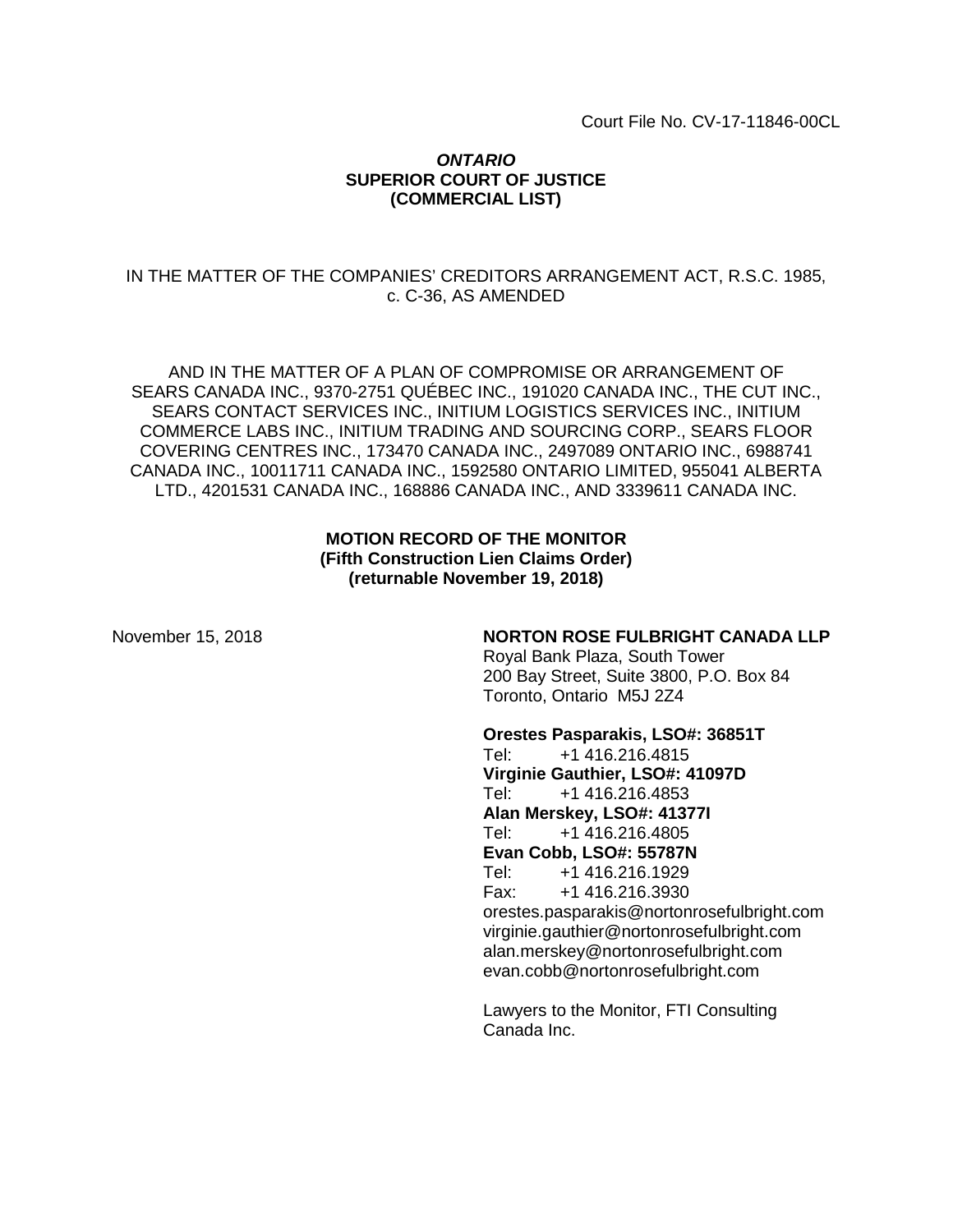Court File No. CV-17-11846-00CL

## *ONTARIO* **SUPERIOR COURT OF JUSTICE (COMMERCIAL LIST)**

## IN THE MATTER OF THE COMPANIES' CREDITORS ARRANGEMENT ACT, R.S.C. 1985, c. C-36, AS AMENDED

AND IN THE MATTER OF A PLAN OF COMPROMISE OR ARRANGEMENT OF SEARS CANADA INC., 9370-2751 QUÉBEC INC., 191020 CANADA INC., THE CUT INC., SEARS CONTACT SERVICES INC., INITIUM LOGISTICS SERVICES INC., INITIUM COMMERCE LABS INC., INITIUM TRADING AND SOURCING CORP., SEARS FLOOR COVERING CENTRES INC., 173470 CANADA INC., 2497089 ONTARIO INC., 6988741 CANADA INC., 10011711 CANADA INC., 1592580 ONTARIO LIMITED, 955041 ALBERTA LTD., 4201531 CANADA INC., 168886 CANADA INC., AND 3339611 CANADA INC.

## **MOTION RECORD OF THE MONITOR (Fifth Construction Lien Claims Order) (returnable November 19, 2018)**

## November 15, 2018 **NORTON ROSE FULBRIGHT CANADA LLP**

Royal Bank Plaza, South Tower 200 Bay Street, Suite 3800, P.O. Box 84 Toronto, Ontario M5J 2Z4

#### **Orestes Pasparakis, LSO#: 36851T**

Tel: +1 416.216.4815 **Virginie Gauthier, LSO#: 41097D** Tel: +1 416.216.4853 **Alan Merskey, LSO#: 41377I** Tel: +1 416.216.4805 **Evan Cobb, LSO#: 55787N**<br>Tel: +1 416.216.1929 Tel: +1 416.216.1929 Fax: +1 416.216.3930 orestes.pasparakis@nortonrosefulbright.com virginie.gauthier@nortonrosefulbright.com alan.merskey@nortonrosefulbright.com evan.cobb@nortonrosefulbright.com

Lawyers to the Monitor, FTI Consulting Canada Inc.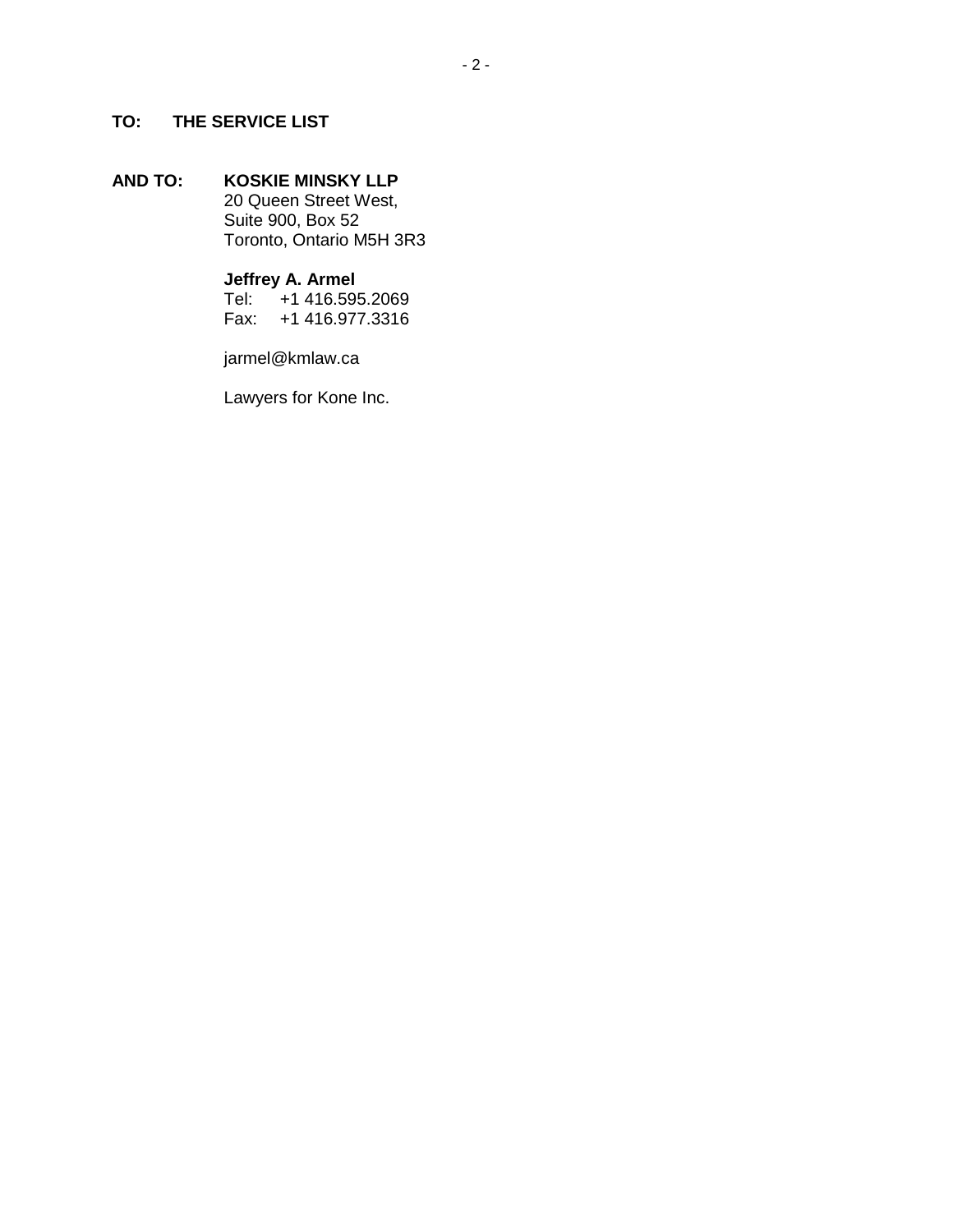## **TO: THE SERVICE LIST**

## **AND TO: KOSKIE MINSKY LLP**

20 Queen Street West, Suite 900, Box 52 Toronto, Ontario M5H 3R3

# **Jeffrey A. Armel**<br>Tel: +1 416.59

Tel: +1 416.595.2069 Fax: +1 416.977.3316

jarmel@kmlaw.ca

Lawyers for Kone Inc.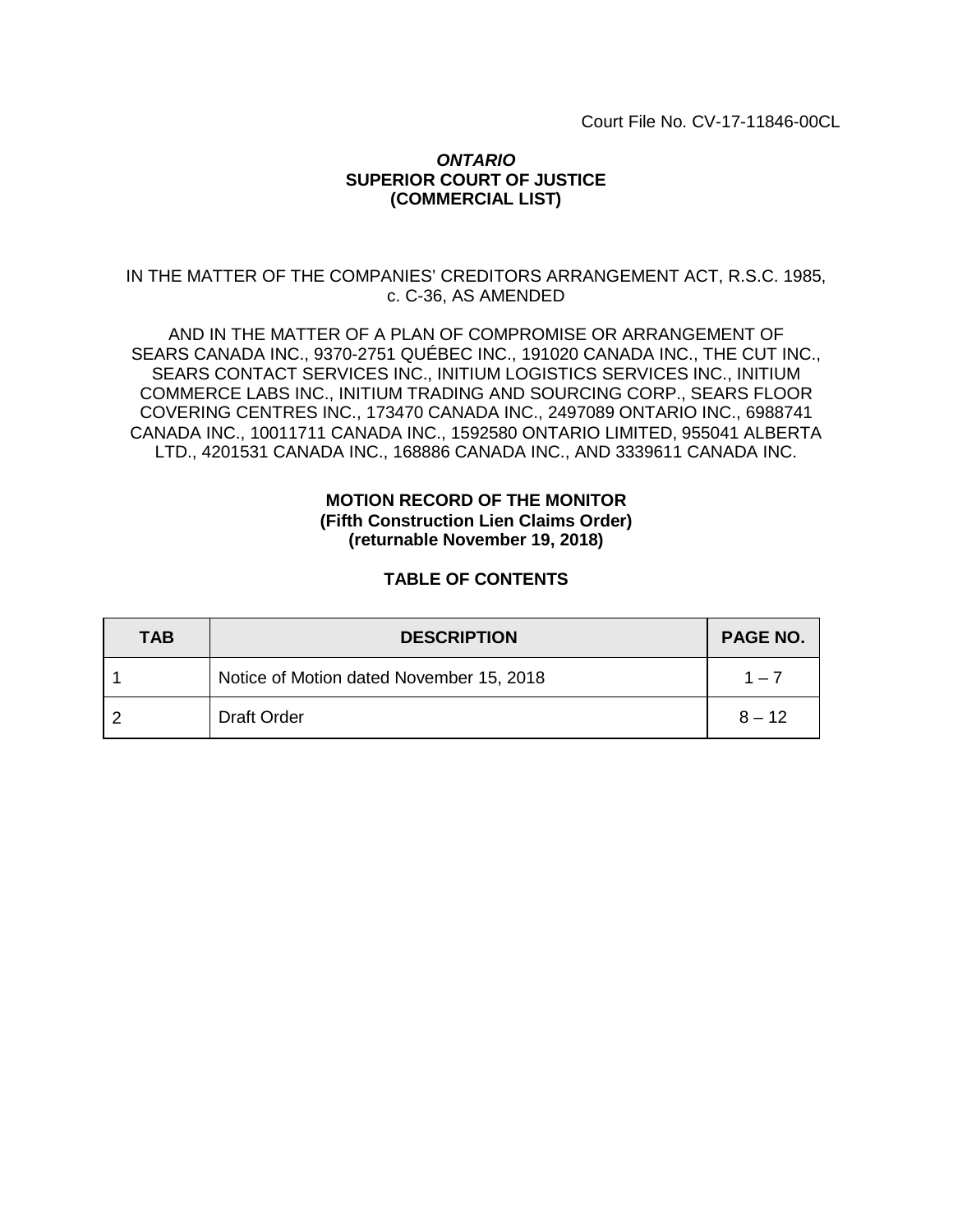Court File No. CV-17-11846-00CL

## *ONTARIO* **SUPERIOR COURT OF JUSTICE (COMMERCIAL LIST)**

## IN THE MATTER OF THE COMPANIES' CREDITORS ARRANGEMENT ACT, R.S.C. 1985, c. C-36, AS AMENDED

AND IN THE MATTER OF A PLAN OF COMPROMISE OR ARRANGEMENT OF SEARS CANADA INC., 9370-2751 QUÉBEC INC., 191020 CANADA INC., THE CUT INC., SEARS CONTACT SERVICES INC., INITIUM LOGISTICS SERVICES INC., INITIUM COMMERCE LABS INC., INITIUM TRADING AND SOURCING CORP., SEARS FLOOR COVERING CENTRES INC., 173470 CANADA INC., 2497089 ONTARIO INC., 6988741 CANADA INC., 10011711 CANADA INC., 1592580 ONTARIO LIMITED, 955041 ALBERTA LTD., 4201531 CANADA INC., 168886 CANADA INC., AND 3339611 CANADA INC.

## **MOTION RECORD OF THE MONITOR (Fifth Construction Lien Claims Order) (returnable November 19, 2018)**

## **TABLE OF CONTENTS**

| <b>TAB</b> | <b>DESCRIPTION</b>                       | PAGE NO. |
|------------|------------------------------------------|----------|
|            | Notice of Motion dated November 15, 2018 | $1 - 7$  |
|            | <b>Draft Order</b>                       | $8 - 12$ |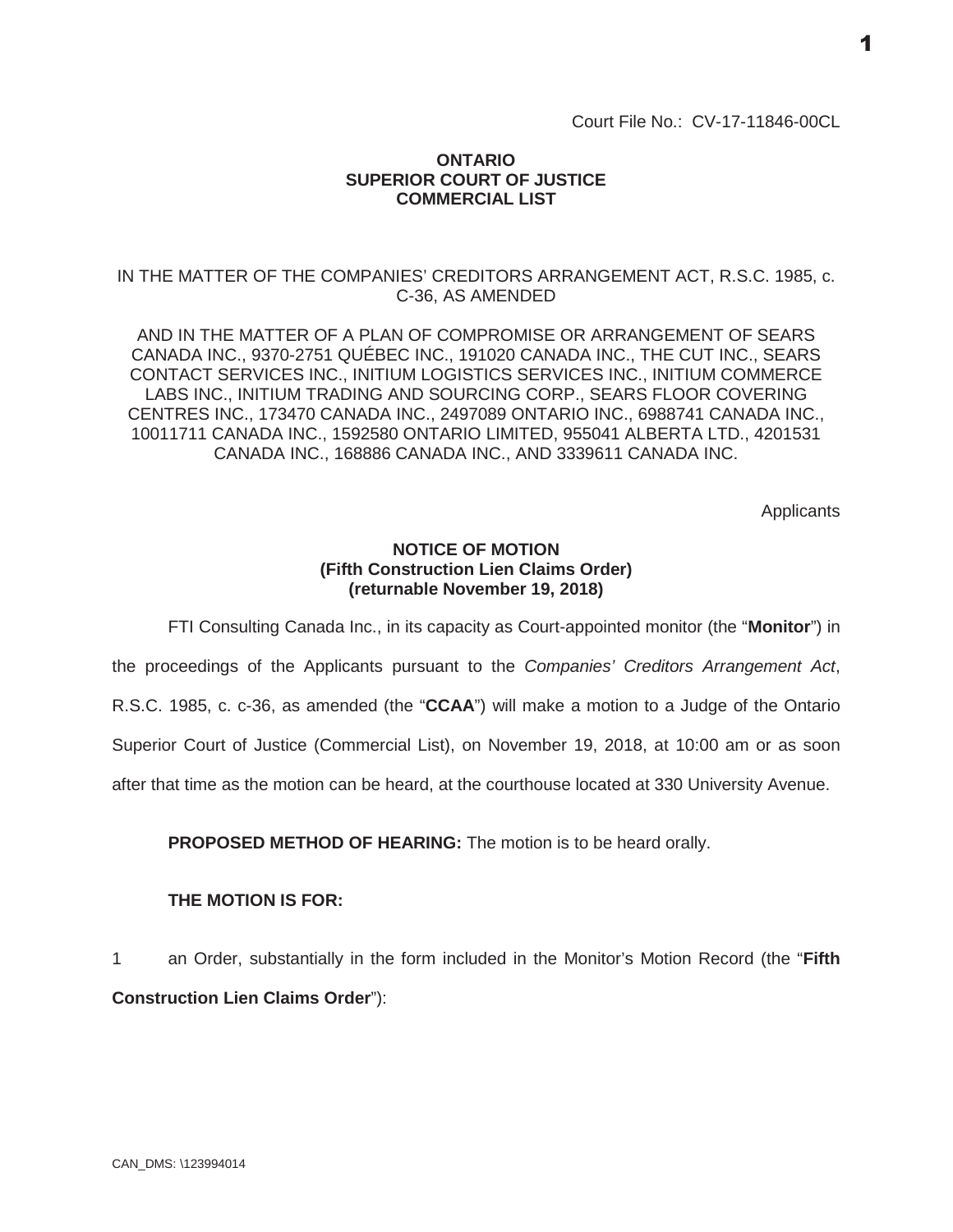Court File No.: CV-17-11846-00CL

## **ONTARIO SUPERIOR COURT OF JUSTICE COMMERCIAL LIST**

## IN THE MATTER OF THE COMPANIES' CREDITORS ARRANGEMENT ACT, R.S.C. 1985, c. C-36, AS AMENDED

AND IN THE MATTER OF A PLAN OF COMPROMISE OR ARRANGEMENT OF SEARS CANADA INC., 9370-2751 QUÉBEC INC., 191020 CANADA INC., THE CUT INC., SEARS CONTACT SERVICES INC., INITIUM LOGISTICS SERVICES INC., INITIUM COMMERCE LABS INC., INITIUM TRADING AND SOURCING CORP., SEARS FLOOR COVERING CENTRES INC., 173470 CANADA INC., 2497089 ONTARIO INC., 6988741 CANADA INC., 10011711 CANADA INC., 1592580 ONTARIO LIMITED, 955041 ALBERTA LTD., 4201531 CANADA INC., 168886 CANADA INC., AND 3339611 CANADA INC.

**Applicants** 

## **NOTICE OF MOTION (Fifth Construction Lien Claims Order) (returnable November 19, 2018)**

FTI Consulting Canada Inc., in its capacity as Court-appointed monitor (the "**Monitor**") in

the proceedings of the Applicants pursuant to the *Companies' Creditors Arrangement Act*,

R.S.C. 1985, c. c-36, as amended (the "**CCAA**") will make a motion to a Judge of the Ontario

Superior Court of Justice (Commercial List), on November 19, 2018, at 10:00 am or as soon

after that time as the motion can be heard, at the courthouse located at 330 University Avenue.

**PROPOSED METHOD OF HEARING:** The motion is to be heard orally.

#### **THE MOTION IS FOR:**

1 an Order, substantially in the form included in the Monitor's Motion Record (the "**Fifth Construction Lien Claims Order**"):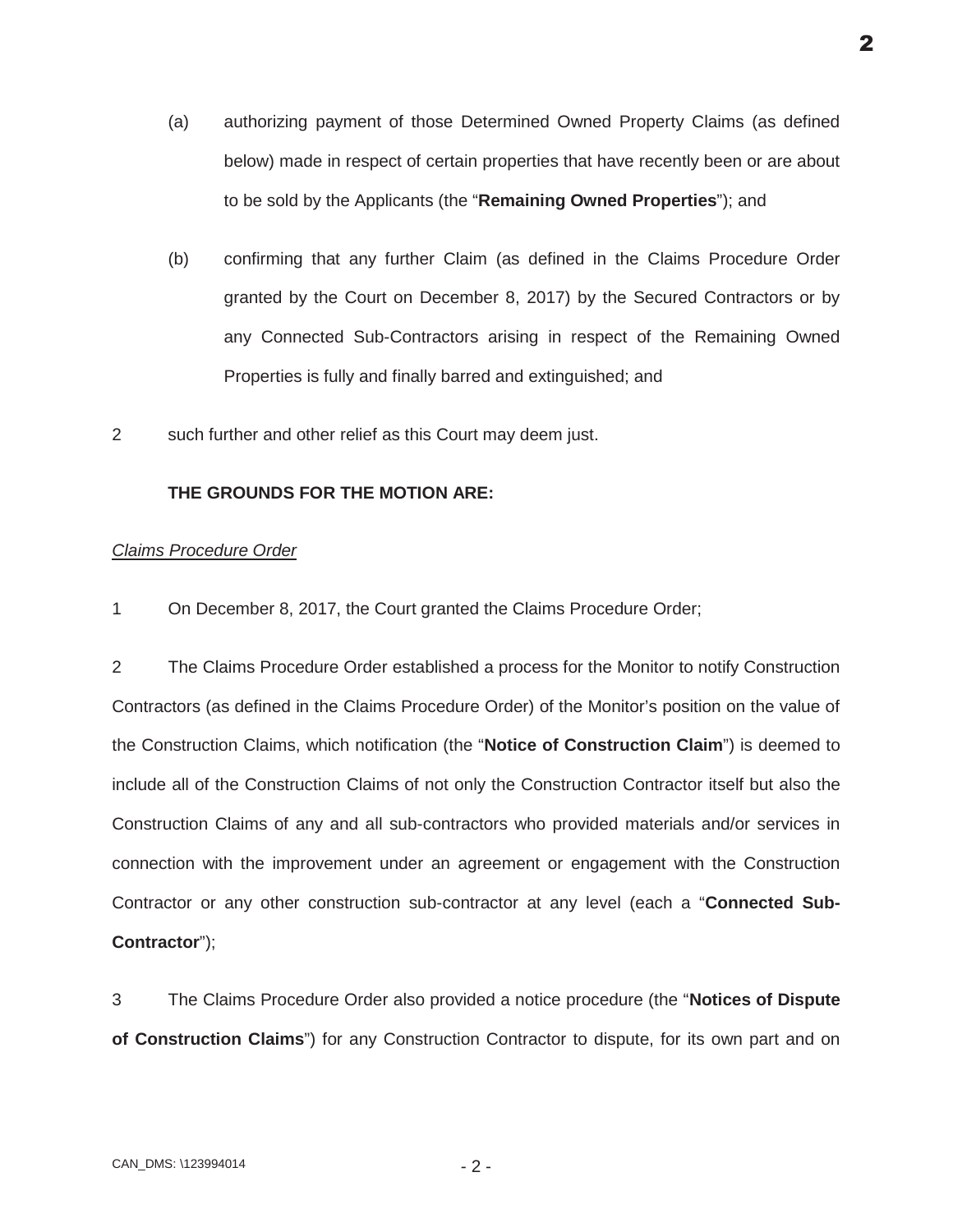- (a) authorizing payment of those Determined Owned Property Claims (as defined below) made in respect of certain properties that have recently been or are about to be sold by the Applicants (the "**Remaining Owned Properties**"); and
- (b) confirming that any further Claim (as defined in the Claims Procedure Order granted by the Court on December 8, 2017) by the Secured Contractors or by any Connected Sub-Contractors arising in respect of the Remaining Owned Properties is fully and finally barred and extinguished; and
- 2 such further and other relief as this Court may deem just.

## **THE GROUNDS FOR THE MOTION ARE:**

#### *Claims Procedure Order*

1 On December 8, 2017, the Court granted the Claims Procedure Order;

2 The Claims Procedure Order established a process for the Monitor to notify Construction Contractors (as defined in the Claims Procedure Order) of the Monitor's position on the value of the Construction Claims, which notification (the "**Notice of Construction Claim**") is deemed to include all of the Construction Claims of not only the Construction Contractor itself but also the Construction Claims of any and all sub-contractors who provided materials and/or services in connection with the improvement under an agreement or engagement with the Construction Contractor or any other construction sub-contractor at any level (each a "**Connected Sub-Contractor**");

3 The Claims Procedure Order also provided a notice procedure (the "**Notices of Dispute of Construction Claims**") for any Construction Contractor to dispute, for its own part and on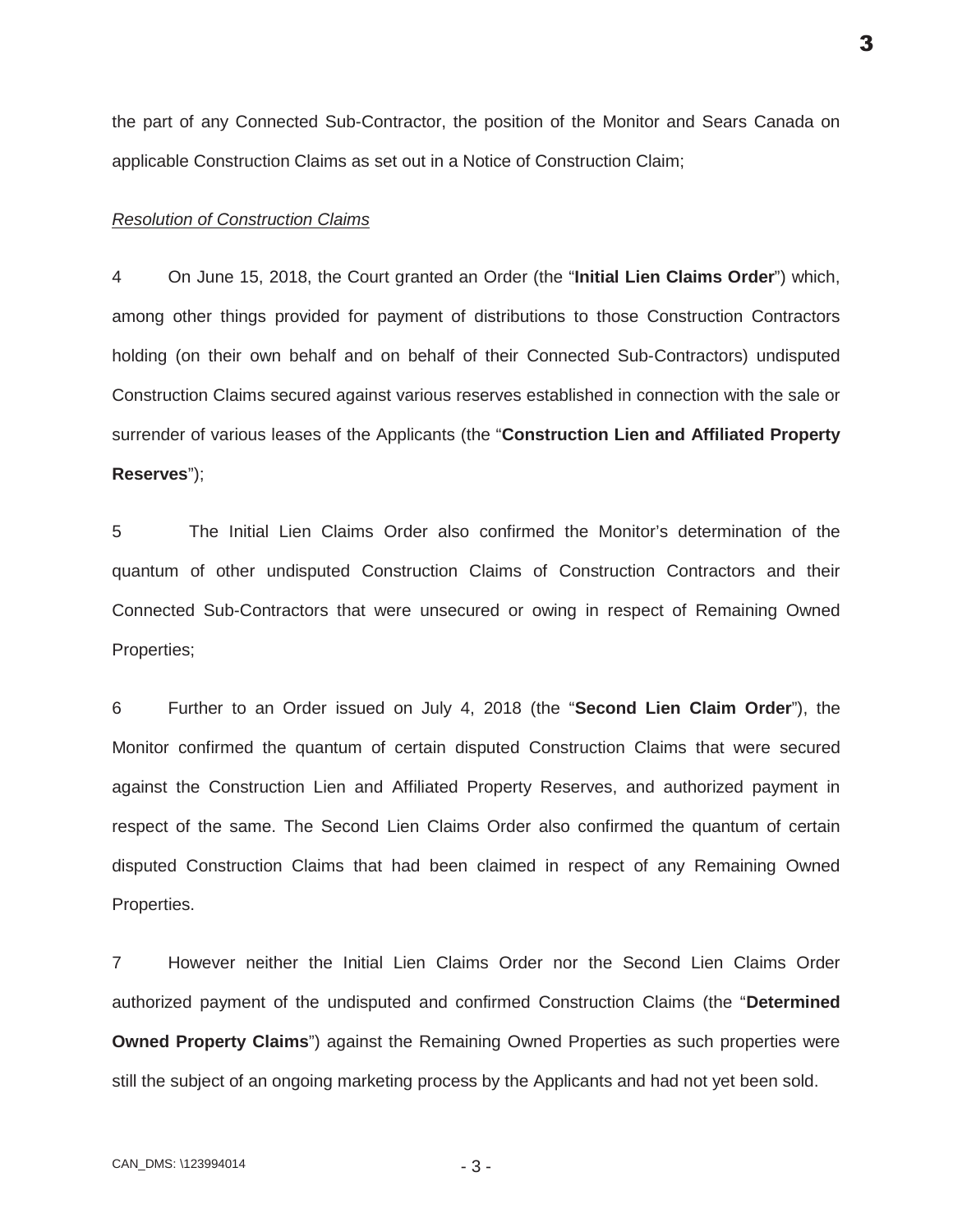the part of any Connected Sub-Contractor, the position of the Monitor and Sears Canada on applicable Construction Claims as set out in a Notice of Construction Claim;

#### *Resolution of Construction Claims*

4 On June 15, 2018, the Court granted an Order (the "**Initial Lien Claims Order**") which, among other things provided for payment of distributions to those Construction Contractors holding (on their own behalf and on behalf of their Connected Sub-Contractors) undisputed Construction Claims secured against various reserves established in connection with the sale or surrender of various leases of the Applicants (the "**Construction Lien and Affiliated Property Reserves**");

5 The Initial Lien Claims Order also confirmed the Monitor's determination of the quantum of other undisputed Construction Claims of Construction Contractors and their Connected Sub-Contractors that were unsecured or owing in respect of Remaining Owned Properties;

6 Further to an Order issued on July 4, 2018 (the "**Second Lien Claim Order**"), the Monitor confirmed the quantum of certain disputed Construction Claims that were secured against the Construction Lien and Affiliated Property Reserves, and authorized payment in respect of the same. The Second Lien Claims Order also confirmed the quantum of certain disputed Construction Claims that had been claimed in respect of any Remaining Owned Properties.

7 However neither the Initial Lien Claims Order nor the Second Lien Claims Order authorized payment of the undisputed and confirmed Construction Claims (the "**Determined Owned Property Claims**") against the Remaining Owned Properties as such properties were still the subject of an ongoing marketing process by the Applicants and had not yet been sold.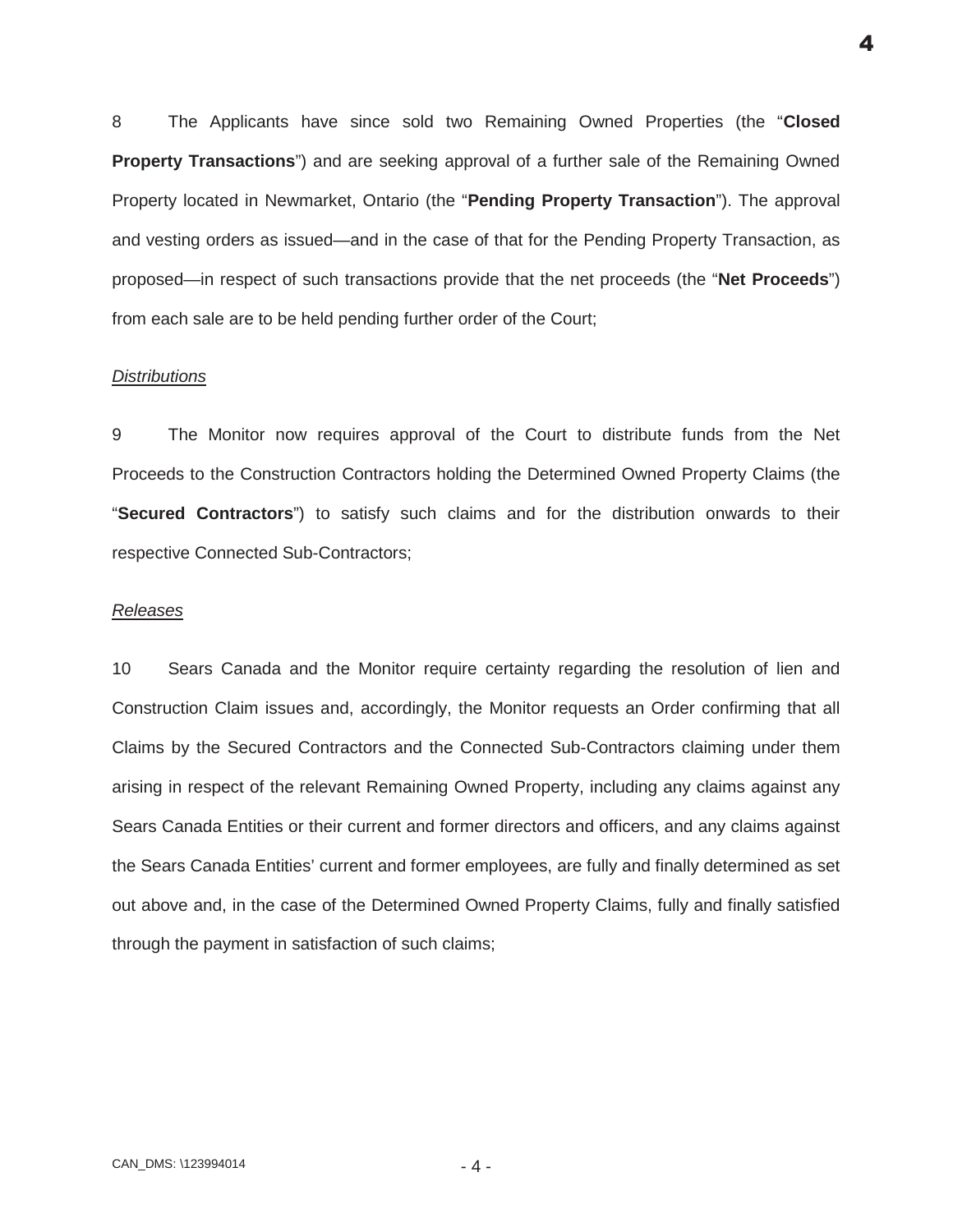8 The Applicants have since sold two Remaining Owned Properties (the "**Closed Property Transactions**") and are seeking approval of a further sale of the Remaining Owned Property located in Newmarket, Ontario (the "**Pending Property Transaction**"). The approval and vesting orders as issued—and in the case of that for the Pending Property Transaction, as proposed—in respect of such transactions provide that the net proceeds (the "**Net Proceeds**") from each sale are to be held pending further order of the Court;

#### *Distributions*

9 The Monitor now requires approval of the Court to distribute funds from the Net Proceeds to the Construction Contractors holding the Determined Owned Property Claims (the "**Secured Contractors**") to satisfy such claims and for the distribution onwards to their respective Connected Sub-Contractors;

#### *Releases*

10 Sears Canada and the Monitor require certainty regarding the resolution of lien and Construction Claim issues and, accordingly, the Monitor requests an Order confirming that all Claims by the Secured Contractors and the Connected Sub-Contractors claiming under them arising in respect of the relevant Remaining Owned Property, including any claims against any Sears Canada Entities or their current and former directors and officers, and any claims against the Sears Canada Entities' current and former employees, are fully and finally determined as set out above and, in the case of the Determined Owned Property Claims, fully and finally satisfied through the payment in satisfaction of such claims;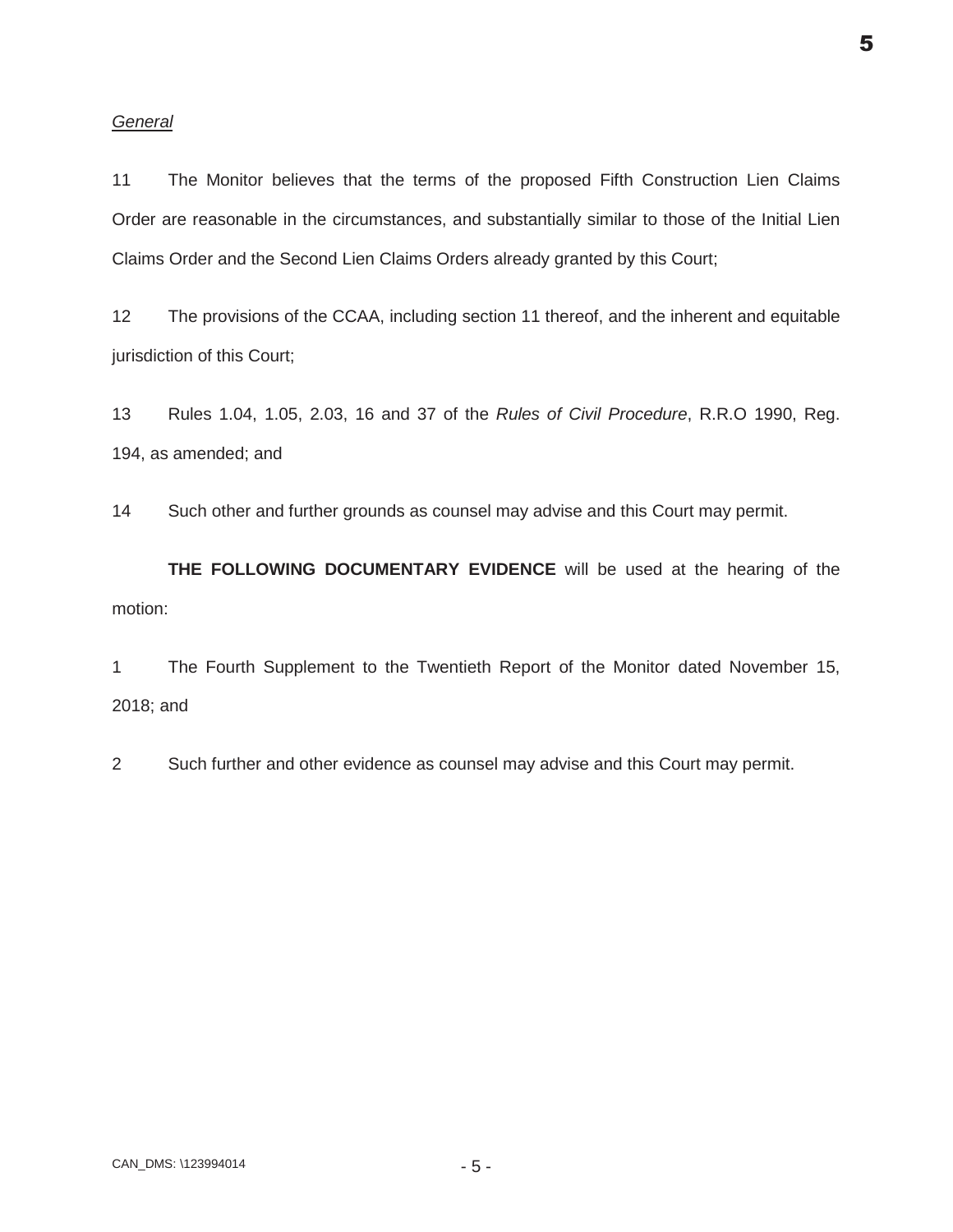#### *General*

11 The Monitor believes that the terms of the proposed Fifth Construction Lien Claims Order are reasonable in the circumstances, and substantially similar to those of the Initial Lien Claims Order and the Second Lien Claims Orders already granted by this Court;

12 The provisions of the CCAA, including section 11 thereof, and the inherent and equitable jurisdiction of this Court;

13 Rules 1.04, 1.05, 2.03, 16 and 37 of the *Rules of Civil Procedure*, R.R.O 1990, Reg. 194, as amended; and

14 Such other and further grounds as counsel may advise and this Court may permit.

**THE FOLLOWING DOCUMENTARY EVIDENCE** will be used at the hearing of the motion:

1 The Fourth Supplement to the Twentieth Report of the Monitor dated November 15, 2018; and

2 Such further and other evidence as counsel may advise and this Court may permit.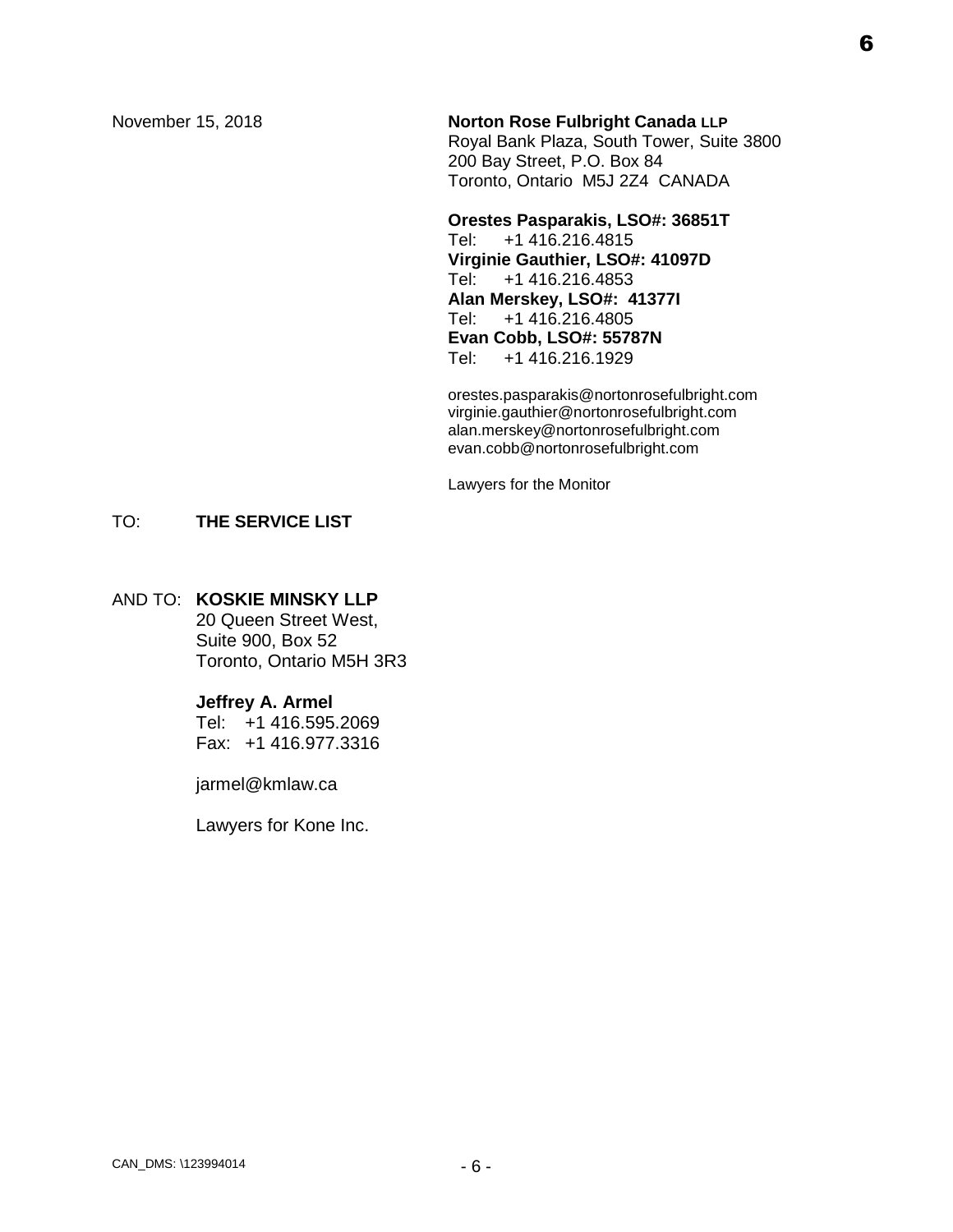# November 15, 2018 **Norton Rose Fulbright Canada LLP** Royal Bank Plaza, South Tower, Suite 3800

200 Bay Street, P.O. Box 84 Toronto, Ontario M5J 2Z4 CANADA

## **Orestes Pasparakis, LSO#: 36851T** Tel: +1 416.216.4815 **Virginie Gauthier, LSO#: 41097D** +1 416.216.4853 **Alan Merskey, LSO#: 41377I** +1 416.216.4805 **Evan Cobb, LSO#: 55787N** Tel: +1 416.216.1929

orestes.pasparakis@nortonrosefulbright.com virginie.gauthier@nortonrosefulbright.com alan.merskey@nortonrosefulbright.com evan.cobb@nortonrosefulbright.com

Lawyers for the Monitor

## TO: **THE SERVICE LIST**

## AND TO: **KOSKIE MINSKY LLP**

20 Queen Street West, Suite 900, Box 52 Toronto, Ontario M5H 3R3

## **Jeffrey A. Armel**

Tel: +1 416.595.2069 Fax: +1 416.977.3316

jarmel@kmlaw.ca

Lawyers for Kone Inc.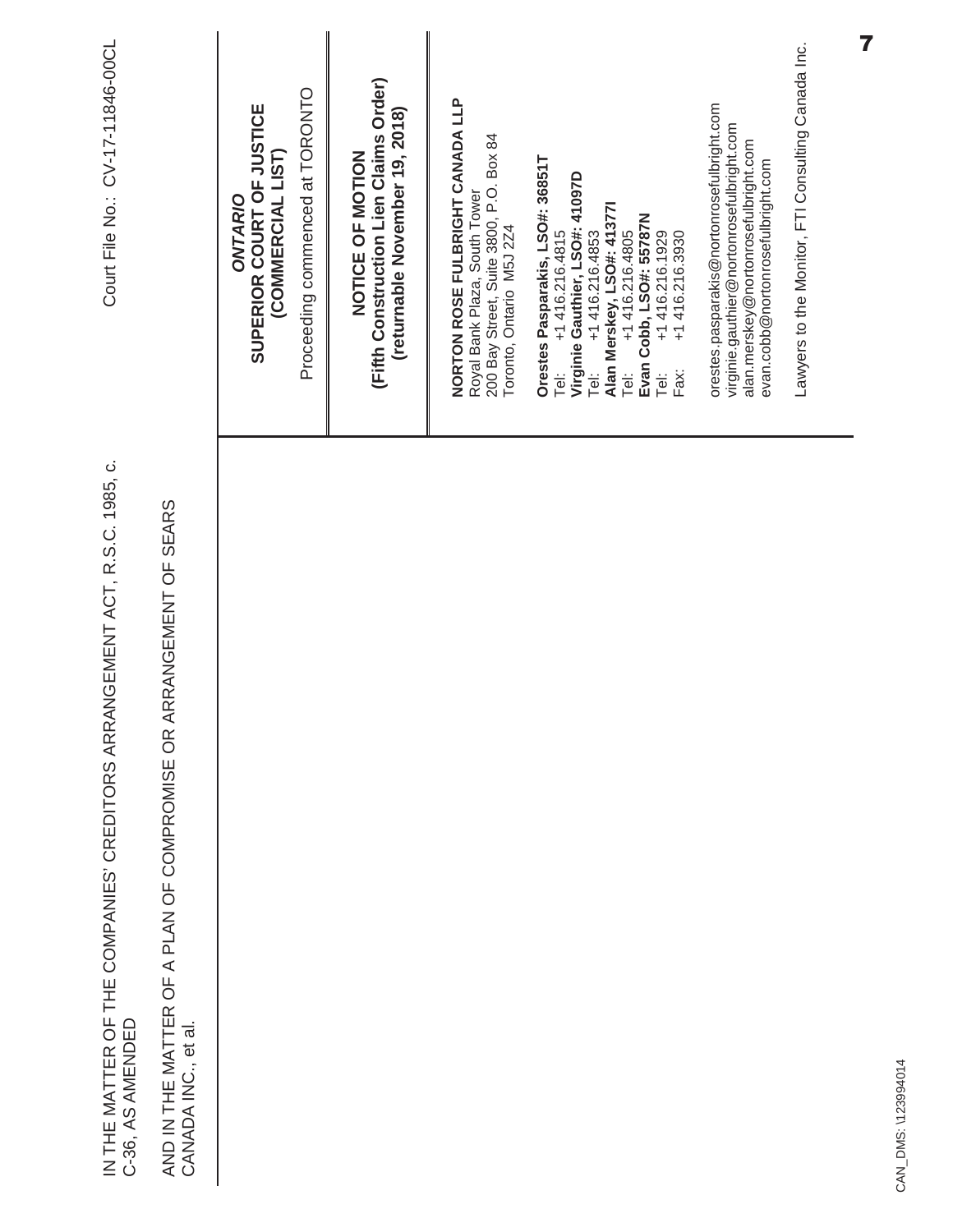| Lawyers to the Monitor, FTI Consulting Canada Inc.<br>(Fifth Construction Lien Claims Order)<br>Proceeding commenced at TORONTO<br>NORTON ROSE FULBRIGHT CANADA LLP<br>orestes.pasparakis@nortonrosefulbright.com<br>SUPERIOR COURT OF JUSTICE<br>(returnable November 19, 2018)<br>virginie.gauthier@nortonrosefulbright.com<br>200 Bay Street, Suite 3800, P.O. Box 84<br>alan.merskey@nortonrosefulbright.com<br>NOTICE OF MOTION<br>(COMMERCIAL LIST)<br>Orestes Pasparakis, LSO#: 36851T<br>evan.cobb@nortonrosefulbright.com<br>Virginie Gauthier, LSO#: 41097D<br>Royal Bank Plaza, South Tower<br>ONTARIO<br>Alan Merskey, LSO#: 413771<br>Evan Cobb, LSO#: 55787N<br>Toronto, Ontario M5J 2Z4<br>+1416.216.4815<br>+1 416.216.4805<br>+1416.216.1929<br>+1 416.216.3930<br>+1 416.216.4853<br>Tei:<br>Fax:<br>j<br>P<br>Tei:<br>Tei: | IN THE MATTER OF THE COMPANIES' CREDITORS ARRANGEMENT ACT, R.S.C. 1985, c.<br>AND IN THE MATTER OF A PLAN OF COMPROMISE OR ARRANGEMENT OF SEARS<br>C-36, AS AMENDED<br>CANADA INC., et al. | Court File No.: CV-17-11846-00CL |
|-----------------------------------------------------------------------------------------------------------------------------------------------------------------------------------------------------------------------------------------------------------------------------------------------------------------------------------------------------------------------------------------------------------------------------------------------------------------------------------------------------------------------------------------------------------------------------------------------------------------------------------------------------------------------------------------------------------------------------------------------------------------------------------------------------------------------------------------------|--------------------------------------------------------------------------------------------------------------------------------------------------------------------------------------------|----------------------------------|
|                                                                                                                                                                                                                                                                                                                                                                                                                                                                                                                                                                                                                                                                                                                                                                                                                                               |                                                                                                                                                                                            |                                  |
|                                                                                                                                                                                                                                                                                                                                                                                                                                                                                                                                                                                                                                                                                                                                                                                                                                               |                                                                                                                                                                                            |                                  |
|                                                                                                                                                                                                                                                                                                                                                                                                                                                                                                                                                                                                                                                                                                                                                                                                                                               |                                                                                                                                                                                            |                                  |
|                                                                                                                                                                                                                                                                                                                                                                                                                                                                                                                                                                                                                                                                                                                                                                                                                                               |                                                                                                                                                                                            |                                  |
|                                                                                                                                                                                                                                                                                                                                                                                                                                                                                                                                                                                                                                                                                                                                                                                                                                               |                                                                                                                                                                                            |                                  |
|                                                                                                                                                                                                                                                                                                                                                                                                                                                                                                                                                                                                                                                                                                                                                                                                                                               |                                                                                                                                                                                            |                                  |
|                                                                                                                                                                                                                                                                                                                                                                                                                                                                                                                                                                                                                                                                                                                                                                                                                                               |                                                                                                                                                                                            |                                  |
|                                                                                                                                                                                                                                                                                                                                                                                                                                                                                                                                                                                                                                                                                                                                                                                                                                               |                                                                                                                                                                                            |                                  |
|                                                                                                                                                                                                                                                                                                                                                                                                                                                                                                                                                                                                                                                                                                                                                                                                                                               |                                                                                                                                                                                            |                                  |

CAN\_DMS: \123994014 CAN\_DMS: \123994014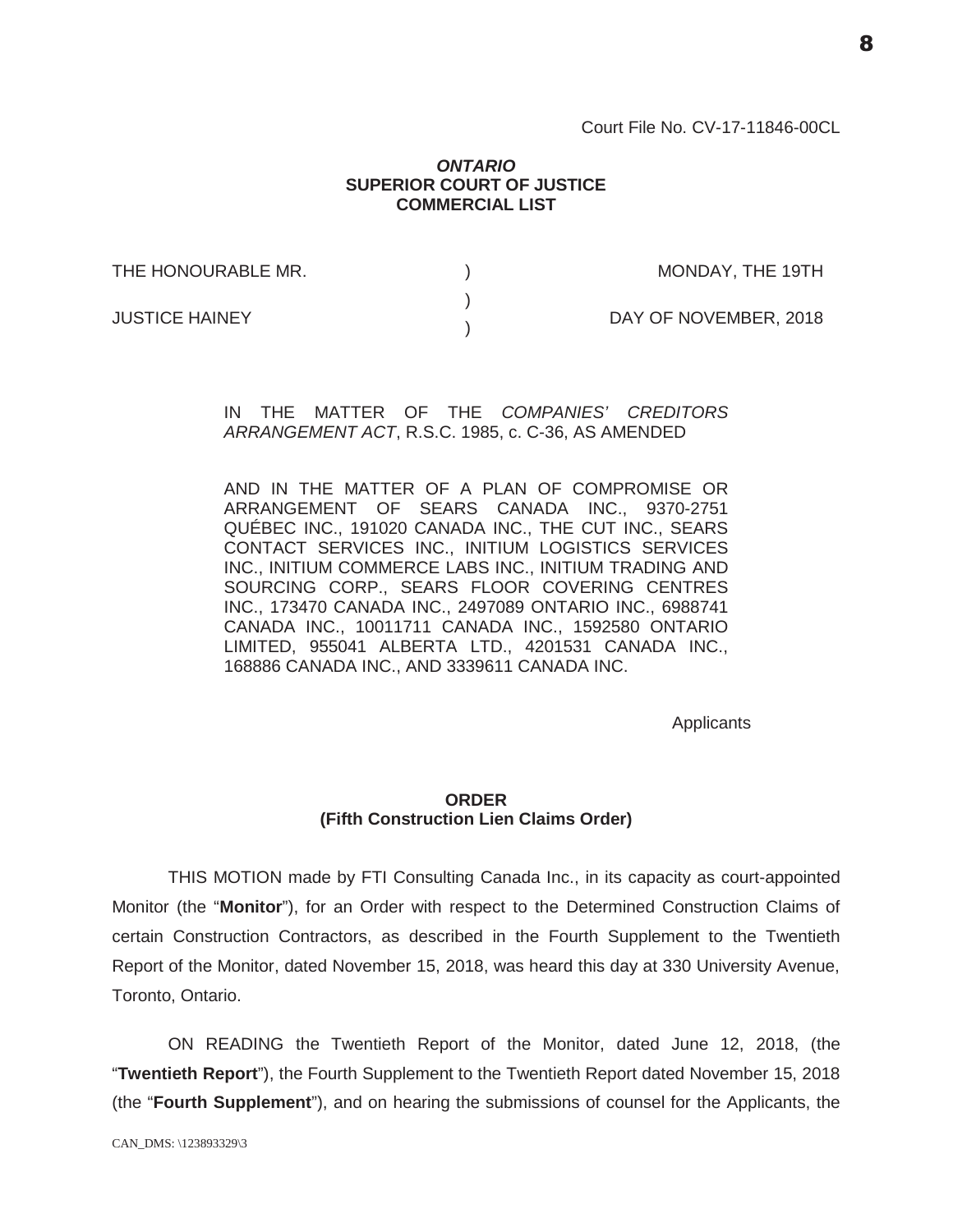Court File No. CV-17-11846-00CL

#### *ONTARIO* **SUPERIOR COURT OF JUSTICE COMMERCIAL LIST**

| THE HONOURABLE MR.    | MONDAY, THE 19TH      |
|-----------------------|-----------------------|
| <b>JUSTICE HAINEY</b> | DAY OF NOVEMBER, 2018 |
|                       |                       |

IN THE MATTER OF THE *COMPANIES' CREDITORS ARRANGEMENT ACT*, R.S.C. 1985, c. C-36, AS AMENDED

AND IN THE MATTER OF A PLAN OF COMPROMISE OR ARRANGEMENT OF SEARS CANADA INC., 9370-2751 QUÉBEC INC., 191020 CANADA INC., THE CUT INC., SEARS CONTACT SERVICES INC., INITIUM LOGISTICS SERVICES INC., INITIUM COMMERCE LABS INC., INITIUM TRADING AND SOURCING CORP., SEARS FLOOR COVERING CENTRES INC., 173470 CANADA INC., 2497089 ONTARIO INC., 6988741 CANADA INC., 10011711 CANADA INC., 1592580 ONTARIO LIMITED, 955041 ALBERTA LTD., 4201531 CANADA INC., 168886 CANADA INC., AND 3339611 CANADA INC.

**Applicants** 

## **ORDER (Fifth Construction Lien Claims Order)**

THIS MOTION made by FTI Consulting Canada Inc., in its capacity as court-appointed Monitor (the "**Monitor**"), for an Order with respect to the Determined Construction Claims of certain Construction Contractors, as described in the Fourth Supplement to the Twentieth Report of the Monitor, dated November 15, 2018, was heard this day at 330 University Avenue, Toronto, Ontario.

ON READING the Twentieth Report of the Monitor, dated June 12, 2018, (the "**Twentieth Report**"), the Fourth Supplement to the Twentieth Report dated November 15, 2018 (the "**Fourth Supplement**"), and on hearing the submissions of counsel for the Applicants, the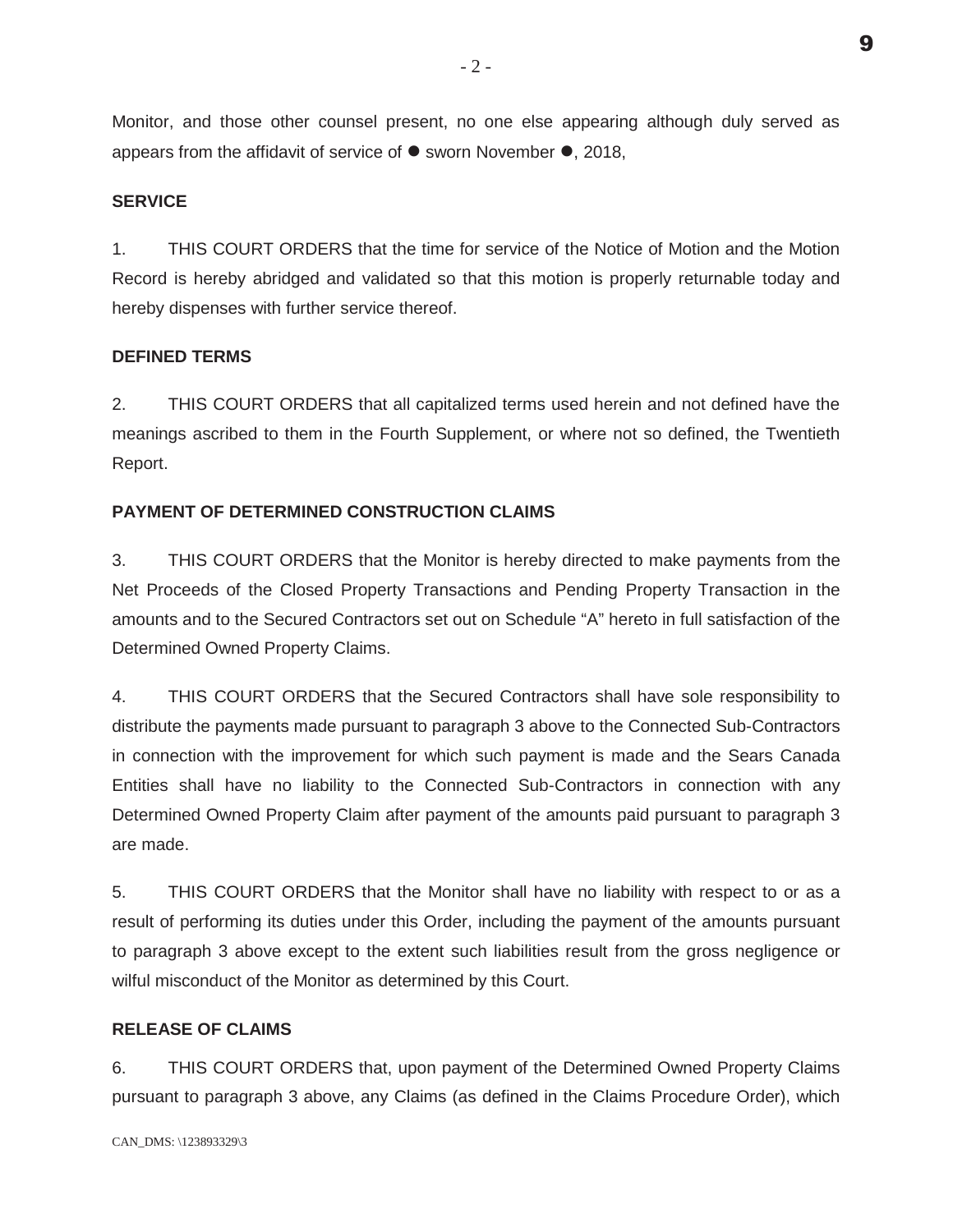Monitor, and those other counsel present, no one else appearing although duly served as appears from the affidavit of service of  $\bullet$  sworn November  $\bullet$ , 2018,

## **SERVICE**

1. THIS COURT ORDERS that the time for service of the Notice of Motion and the Motion Record is hereby abridged and validated so that this motion is properly returnable today and hereby dispenses with further service thereof.

#### **DEFINED TERMS**

2. THIS COURT ORDERS that all capitalized terms used herein and not defined have the meanings ascribed to them in the Fourth Supplement, or where not so defined, the Twentieth Report.

#### **PAYMENT OF DETERMINED CONSTRUCTION CLAIMS**

3. THIS COURT ORDERS that the Monitor is hereby directed to make payments from the Net Proceeds of the Closed Property Transactions and Pending Property Transaction in the amounts and to the Secured Contractors set out on Schedule "A" hereto in full satisfaction of the Determined Owned Property Claims.

4. THIS COURT ORDERS that the Secured Contractors shall have sole responsibility to distribute the payments made pursuant to paragraph 3 above to the Connected Sub-Contractors in connection with the improvement for which such payment is made and the Sears Canada Entities shall have no liability to the Connected Sub-Contractors in connection with any Determined Owned Property Claim after payment of the amounts paid pursuant to paragraph 3 are made.

5. THIS COURT ORDERS that the Monitor shall have no liability with respect to or as a result of performing its duties under this Order, including the payment of the amounts pursuant to paragraph 3 above except to the extent such liabilities result from the gross negligence or wilful misconduct of the Monitor as determined by this Court.

## **RELEASE OF CLAIMS**

6. THIS COURT ORDERS that, upon payment of the Determined Owned Property Claims pursuant to paragraph 3 above, any Claims (as defined in the Claims Procedure Order), which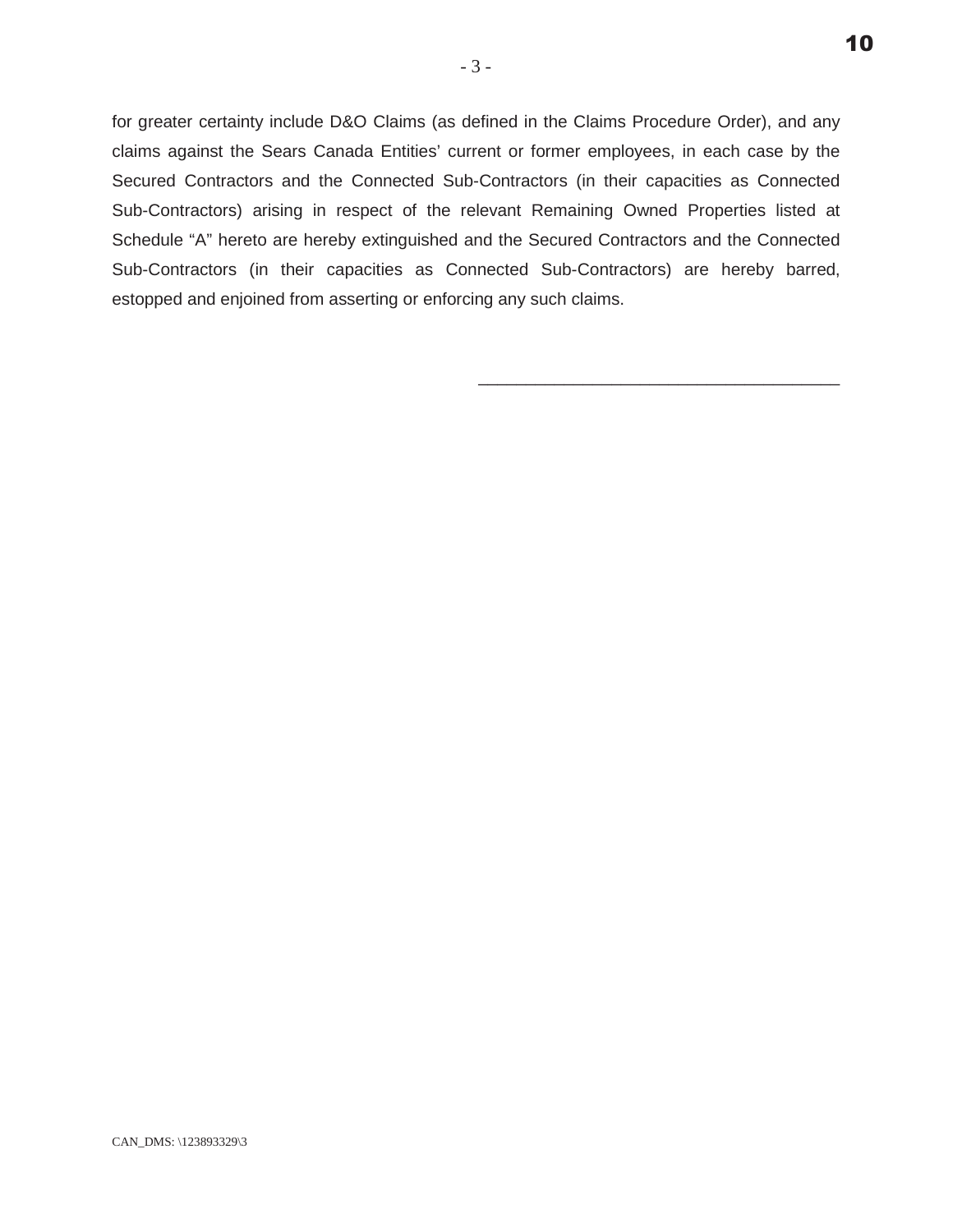for greater certainty include D&O Claims (as defined in the Claims Procedure Order), and any claims against the Sears Canada Entities' current or former employees, in each case by the Secured Contractors and the Connected Sub-Contractors (in their capacities as Connected Sub-Contractors) arising in respect of the relevant Remaining Owned Properties listed at Schedule "A" hereto are hereby extinguished and the Secured Contractors and the Connected Sub-Contractors (in their capacities as Connected Sub-Contractors) are hereby barred, estopped and enjoined from asserting or enforcing any such claims.

\_\_\_\_\_\_\_\_\_\_\_\_\_\_\_\_\_\_\_\_\_\_\_\_\_\_\_\_\_\_\_\_\_\_\_\_\_\_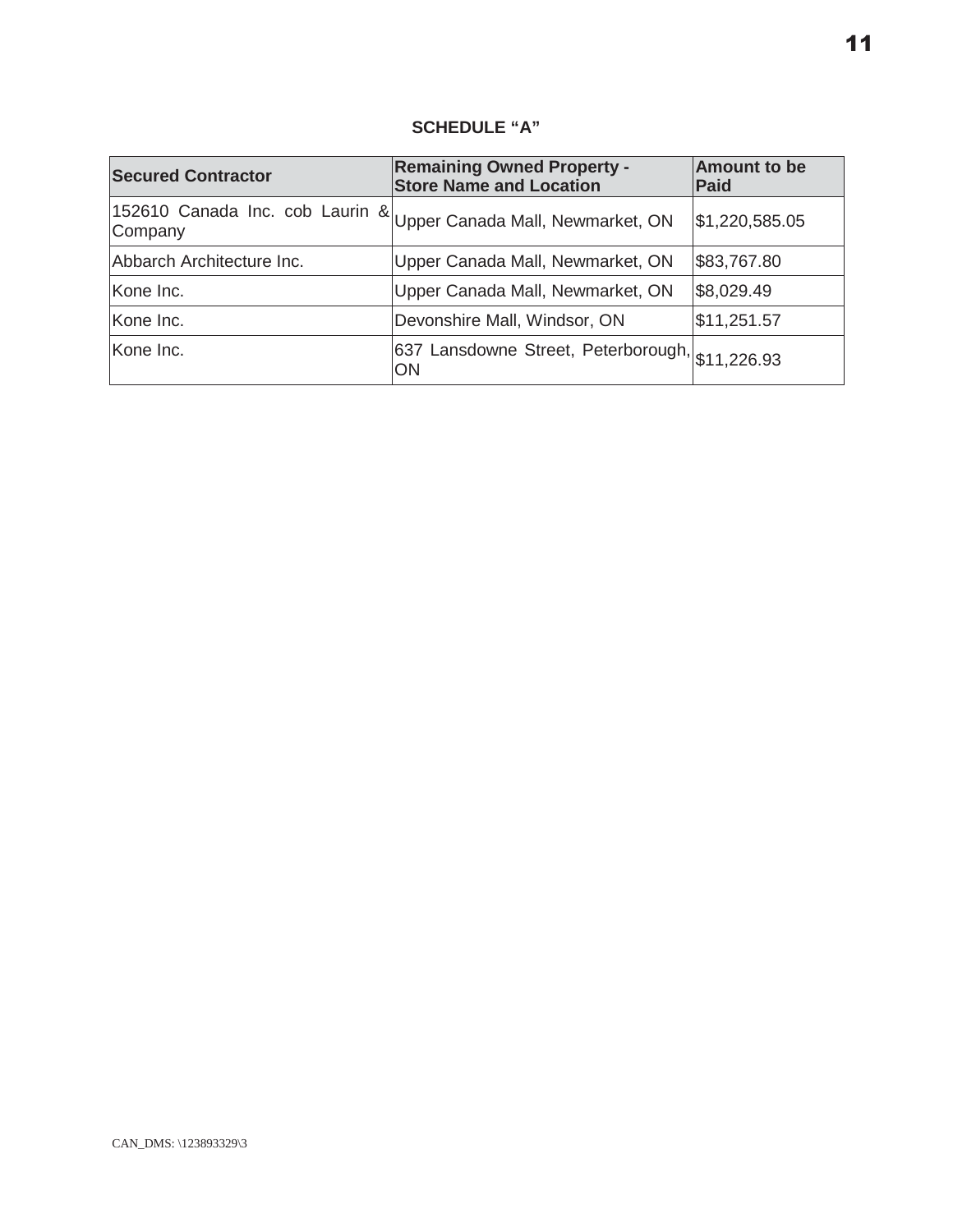## **SCHEDULE "A"**

| <b>Secured Contractor</b> | <b>Remaining Owned Property -</b><br><b>Store Name and Location</b> | <b>Amount to be</b><br>Paid |
|---------------------------|---------------------------------------------------------------------|-----------------------------|
| Company                   | 152610 Canada Inc. cob Laurin & Upper Canada Mall, Newmarket, ON    | \$1,220,585.05              |
| Abbarch Architecture Inc. | Upper Canada Mall, Newmarket, ON                                    | \$83,767.80                 |
| Kone Inc.                 | Upper Canada Mall, Newmarket, ON                                    | \$8,029.49                  |
| Kone Inc.                 | Devonshire Mall, Windsor, ON                                        | \$11,251.57                 |
| Kone Inc.                 | 637 Lansdowne Street, Peterborough, \$11,226.93<br>ON               |                             |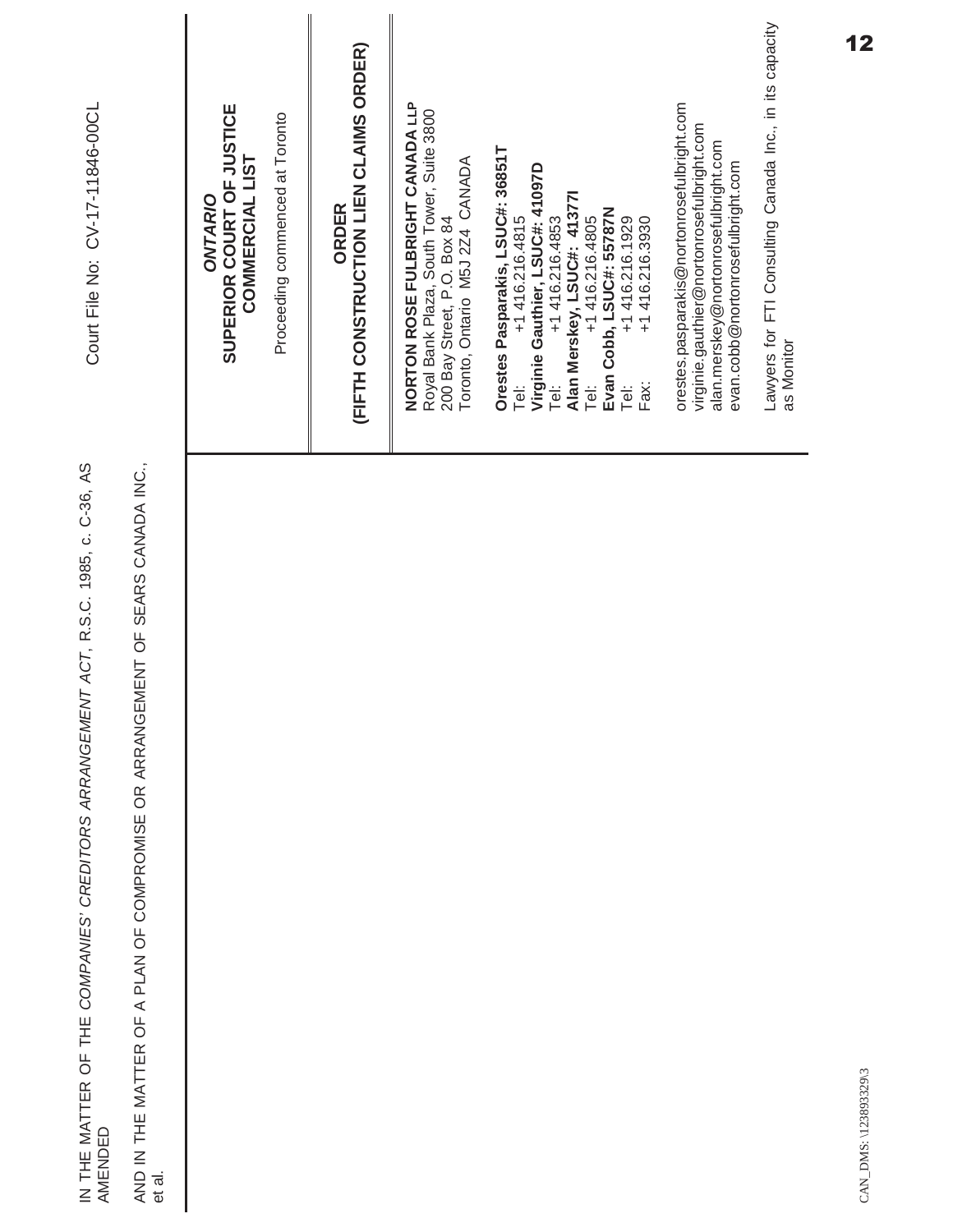| IN THE MATTER OF THE COMPANIES' CREDITORS ARRANGEMENT ACT, R.S.C. 1985, c. C-36, AS<br>AMENDED | Court File No: CV-17-11846-00CL                                                                                                                                                                                                                                        |
|------------------------------------------------------------------------------------------------|------------------------------------------------------------------------------------------------------------------------------------------------------------------------------------------------------------------------------------------------------------------------|
| AND IN THE MATTER OF A PLAN OF COMPROMISE OR ARRANGEMENT OF SEARS CANADA INC.,<br>et al.       |                                                                                                                                                                                                                                                                        |
|                                                                                                | SUPERIOR COURT OF JUSTICE<br>Proceeding commenced at Toronto<br>COMMERCIAL LIST<br>ONTARIO                                                                                                                                                                             |
|                                                                                                | (FIFTH CONSTRUCTION LIEN CLAIMS ORDER)<br>ORDER                                                                                                                                                                                                                        |
|                                                                                                | NORTON ROSE FULBRIGHT CANADA LLP<br>Royal Bank Plaza, South Tower, Suite 3800<br>200 Bay Street, P.O. Box 84<br>Toronto, Ontario M5J 2Z4 CANADA                                                                                                                        |
|                                                                                                | Orestes Pasparakis, LSUC#: 36851T<br>Virginie Gauthier, LSUC#: 41097D<br>Alan Merskey, LSUC#: 413771<br>Tel: +1 416.216.4805<br>Evan Cobb, LSUC#: 55787N<br>+1 416.216.1929<br>+1 416.216.4815<br>+1 416.216.3930<br>+1 416.216.4853<br>Fax:<br>Tei:<br>Te:<br>j<br>Le |
|                                                                                                | orestes.pasparakis@nortonrosefulbright.com<br>virginie.gauthier@nortonrosefulbright.com<br>alan.merskey@nortonrosefulbright.com<br>evan.cobb@nortonrosefulbright.com                                                                                                   |
|                                                                                                | Lawyers for FTI Consulting Canada Inc., in its capacity<br>as Monitor                                                                                                                                                                                                  |
| CAN_DMS: \123893329\3                                                                          | 12                                                                                                                                                                                                                                                                     |